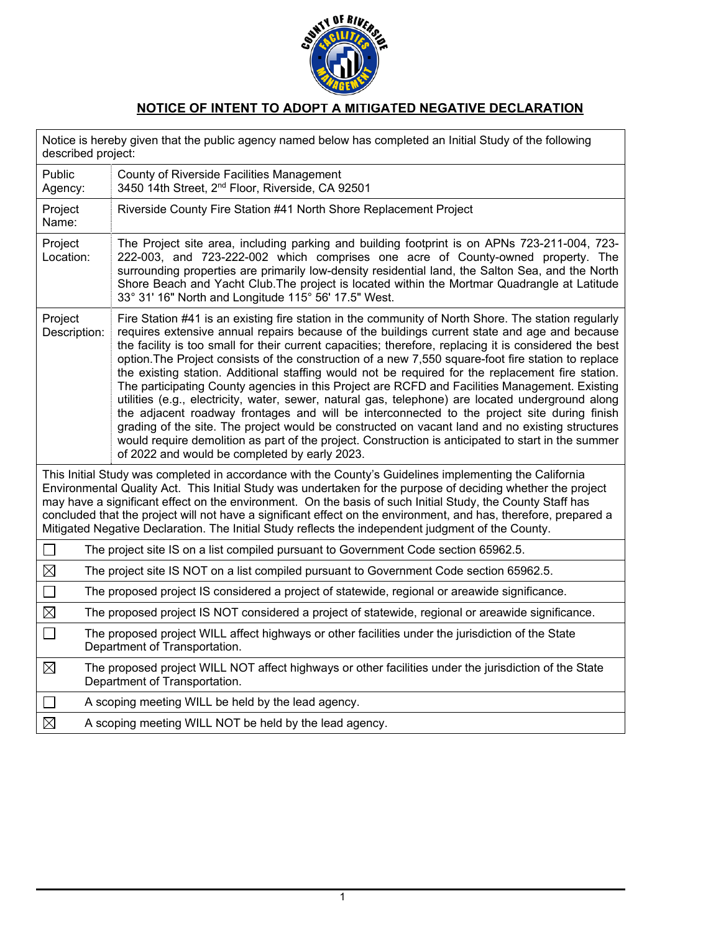

## **NOTICE OF INTENT TO ADOPT A MITIGATED NEGATIVE DECLARATION**

| Notice is hereby given that the public agency named below has completed an Initial Study of the following<br>described project:                                                                                                                                                                                                                                                                                                                                                                                                                                 |                                                                                                                                                                                                                                                                                                                                                                                                                                                                                                                                                                                                                                                                                                                                                                                                                                                                                                                                                                                                                                                                                            |
|-----------------------------------------------------------------------------------------------------------------------------------------------------------------------------------------------------------------------------------------------------------------------------------------------------------------------------------------------------------------------------------------------------------------------------------------------------------------------------------------------------------------------------------------------------------------|--------------------------------------------------------------------------------------------------------------------------------------------------------------------------------------------------------------------------------------------------------------------------------------------------------------------------------------------------------------------------------------------------------------------------------------------------------------------------------------------------------------------------------------------------------------------------------------------------------------------------------------------------------------------------------------------------------------------------------------------------------------------------------------------------------------------------------------------------------------------------------------------------------------------------------------------------------------------------------------------------------------------------------------------------------------------------------------------|
| Public<br>Agency:                                                                                                                                                                                                                                                                                                                                                                                                                                                                                                                                               | County of Riverside Facilities Management<br>3450 14th Street, 2 <sup>nd</sup> Floor, Riverside, CA 92501                                                                                                                                                                                                                                                                                                                                                                                                                                                                                                                                                                                                                                                                                                                                                                                                                                                                                                                                                                                  |
| Project<br>Name:                                                                                                                                                                                                                                                                                                                                                                                                                                                                                                                                                | Riverside County Fire Station #41 North Shore Replacement Project                                                                                                                                                                                                                                                                                                                                                                                                                                                                                                                                                                                                                                                                                                                                                                                                                                                                                                                                                                                                                          |
| Project<br>Location:                                                                                                                                                                                                                                                                                                                                                                                                                                                                                                                                            | The Project site area, including parking and building footprint is on APNs 723-211-004, 723-<br>222-003, and 723-222-002 which comprises one acre of County-owned property. The<br>surrounding properties are primarily low-density residential land, the Salton Sea, and the North<br>Shore Beach and Yacht Club. The project is located within the Mortmar Quadrangle at Latitude<br>33° 31' 16" North and Longitude 115° 56' 17.5" West.                                                                                                                                                                                                                                                                                                                                                                                                                                                                                                                                                                                                                                                |
| Project<br>Description:                                                                                                                                                                                                                                                                                                                                                                                                                                                                                                                                         | Fire Station #41 is an existing fire station in the community of North Shore. The station regularly<br>requires extensive annual repairs because of the buildings current state and age and because<br>the facility is too small for their current capacities; therefore, replacing it is considered the best<br>option. The Project consists of the construction of a new 7,550 square-foot fire station to replace<br>the existing station. Additional staffing would not be required for the replacement fire station.<br>The participating County agencies in this Project are RCFD and Facilities Management. Existing<br>utilities (e.g., electricity, water, sewer, natural gas, telephone) are located underground along<br>the adjacent roadway frontages and will be interconnected to the project site during finish<br>grading of the site. The project would be constructed on vacant land and no existing structures<br>would require demolition as part of the project. Construction is anticipated to start in the summer<br>of 2022 and would be completed by early 2023. |
| This Initial Study was completed in accordance with the County's Guidelines implementing the California<br>Environmental Quality Act. This Initial Study was undertaken for the purpose of deciding whether the project<br>may have a significant effect on the environment. On the basis of such Initial Study, the County Staff has<br>concluded that the project will not have a significant effect on the environment, and has, therefore, prepared a<br>Mitigated Negative Declaration. The Initial Study reflects the independent judgment of the County. |                                                                                                                                                                                                                                                                                                                                                                                                                                                                                                                                                                                                                                                                                                                                                                                                                                                                                                                                                                                                                                                                                            |
| П                                                                                                                                                                                                                                                                                                                                                                                                                                                                                                                                                               | The project site IS on a list compiled pursuant to Government Code section 65962.5.                                                                                                                                                                                                                                                                                                                                                                                                                                                                                                                                                                                                                                                                                                                                                                                                                                                                                                                                                                                                        |
| $\boxtimes$<br>The project site IS NOT on a list compiled pursuant to Government Code section 65962.5.                                                                                                                                                                                                                                                                                                                                                                                                                                                          |                                                                                                                                                                                                                                                                                                                                                                                                                                                                                                                                                                                                                                                                                                                                                                                                                                                                                                                                                                                                                                                                                            |
| П                                                                                                                                                                                                                                                                                                                                                                                                                                                                                                                                                               | The proposed project IS considered a project of statewide, regional or areawide significance.                                                                                                                                                                                                                                                                                                                                                                                                                                                                                                                                                                                                                                                                                                                                                                                                                                                                                                                                                                                              |
| $\boxtimes$                                                                                                                                                                                                                                                                                                                                                                                                                                                                                                                                                     | The proposed project IS NOT considered a project of statewide, regional or areawide significance.                                                                                                                                                                                                                                                                                                                                                                                                                                                                                                                                                                                                                                                                                                                                                                                                                                                                                                                                                                                          |
| $\Box$<br>The proposed project WILL affect highways or other facilities under the jurisdiction of the State<br>Department of Transportation.                                                                                                                                                                                                                                                                                                                                                                                                                    |                                                                                                                                                                                                                                                                                                                                                                                                                                                                                                                                                                                                                                                                                                                                                                                                                                                                                                                                                                                                                                                                                            |
| $\boxtimes$                                                                                                                                                                                                                                                                                                                                                                                                                                                                                                                                                     | The proposed project WILL NOT affect highways or other facilities under the jurisdiction of the State<br>Department of Transportation.                                                                                                                                                                                                                                                                                                                                                                                                                                                                                                                                                                                                                                                                                                                                                                                                                                                                                                                                                     |
| $\Box$                                                                                                                                                                                                                                                                                                                                                                                                                                                                                                                                                          | A scoping meeting WILL be held by the lead agency.                                                                                                                                                                                                                                                                                                                                                                                                                                                                                                                                                                                                                                                                                                                                                                                                                                                                                                                                                                                                                                         |
| $\boxtimes$                                                                                                                                                                                                                                                                                                                                                                                                                                                                                                                                                     | A scoping meeting WILL NOT be held by the lead agency.                                                                                                                                                                                                                                                                                                                                                                                                                                                                                                                                                                                                                                                                                                                                                                                                                                                                                                                                                                                                                                     |